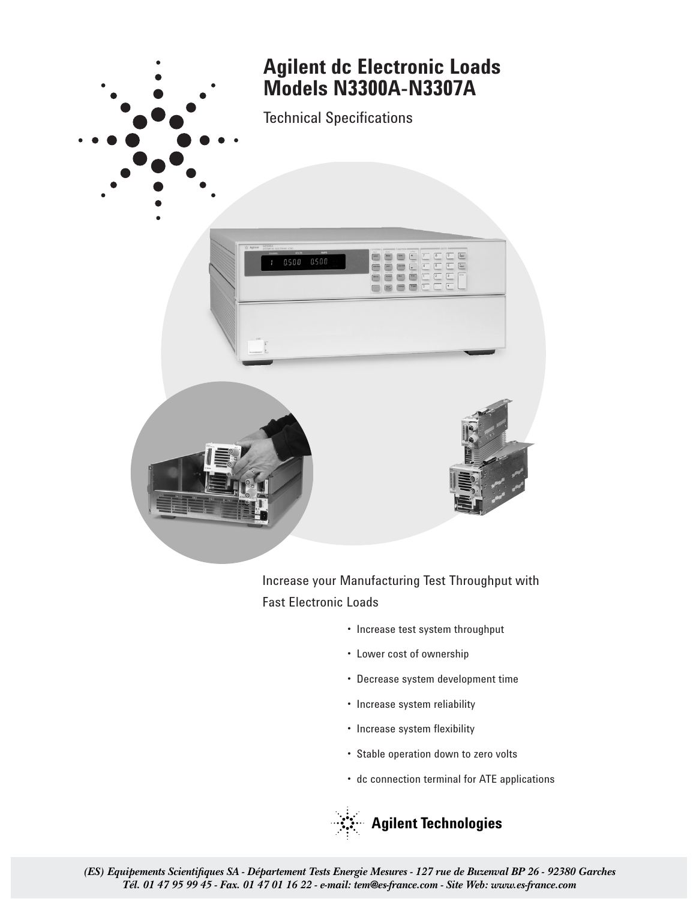

Increase your Manufacturing Test Throughput with Fast Electronic Loads

- Increase test system throughput
- Lower cost of ownership
- Decrease system development time
- Increase system reliability
- Increase system flexibility
- Stable operation down to zero volts
- dc connection terminal for ATE applications

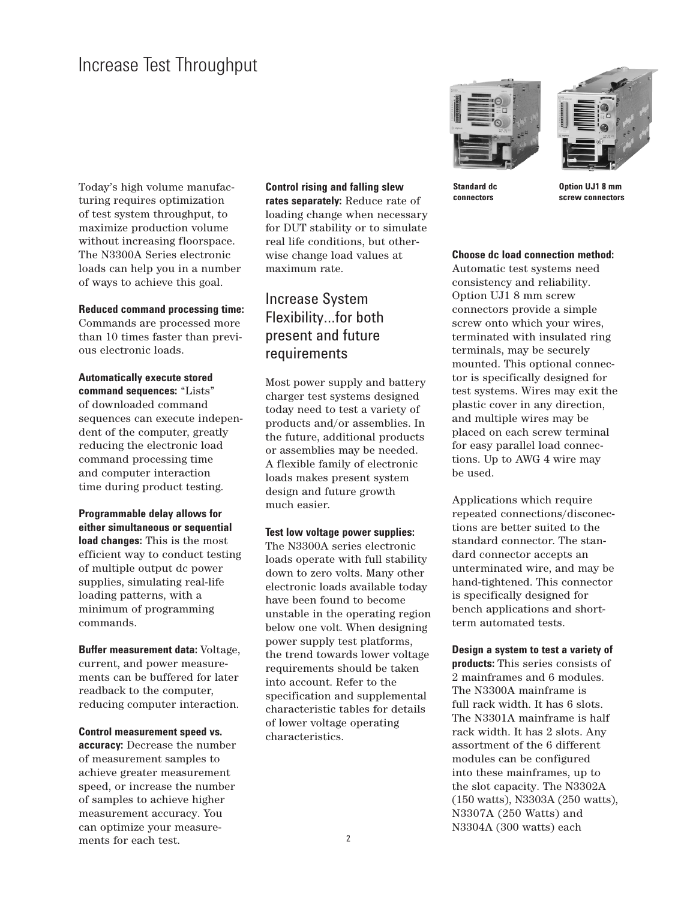Today's high volume manufacturing requires optimization of test system throughput, to maximize production volume without increasing floorspace. The N3300A Series electronic loads can help you in a number of ways to achieve this goal.

## **Reduced command processing time:**

Commands are processed more than 10 times faster than previous electronic loads.

**Automatically execute stored command sequences:** "Lists" of downloaded command sequences can execute independent of the computer, greatly reducing the electronic load command processing time and computer interaction time during product testing.

**Programmable delay allows for either simultaneous or sequential load changes:** This is the most efficient way to conduct testing of multiple output dc power supplies, simulating real-life loading patterns, with a minimum of programming commands.

**Buffer measurement data:** Voltage, current, and power measurements can be buffered for later readback to the computer, reducing computer interaction.

**Control measurement speed vs. accuracy:** Decrease the number of measurement samples to achieve greater measurement speed, or increase the number of samples to achieve higher measurement accuracy. You can optimize your measurements for each test.

**Control rising and falling slew rates separately:** Reduce rate of loading change when necessary for DUT stability or to simulate real life conditions, but otherwise change load values at maximum rate.

# Increase System Flexibility…for both present and future requirements

Most power supply and battery charger test systems designed today need to test a variety of products and/or assemblies. In the future, additional products or assemblies may be needed. A flexible family of electronic loads makes present system design and future growth much easier.

**Test low voltage power supplies:** The N3300A series electronic loads operate with full stability down to zero volts. Many other electronic loads available today have been found to become unstable in the operating region below one volt. When designing power supply test platforms, the trend towards lower voltage requirements should be taken into account. Refer to the specification and supplemental characteristic tables for details of lower voltage operating characteristics.





**Standard dc Option UJ1 8 mm connectors screw connectors**

**Choose dc load connection method:**

Automatic test systems need consistency and reliability. Option UJ1 8 mm screw connectors provide a simple screw onto which your wires, terminated with insulated ring terminals, may be securely mounted. This optional connector is specifically designed for test systems. Wires may exit the plastic cover in any direction, and multiple wires may be placed on each screw terminal for easy parallel load connections. Up to AWG 4 wire may be used.

Applications which require repeated connections/disconections are better suited to the standard connector. The standard connector accepts an unterminated wire, and may be hand-tightened. This connector is specifically designed for bench applications and shortterm automated tests.

**Design a system to test a variety of products:** This series consists of 2 mainframes and 6 modules. The N3300A mainframe is full rack width. It has 6 slots. The N3301A mainframe is half rack width. It has 2 slots. Any assortment of the 6 different modules can be configured into these mainframes, up to the slot capacity. The N3302A (150watts), N3303A (250 watts), N3307A (250 Watts) and N3304A (300 watts) each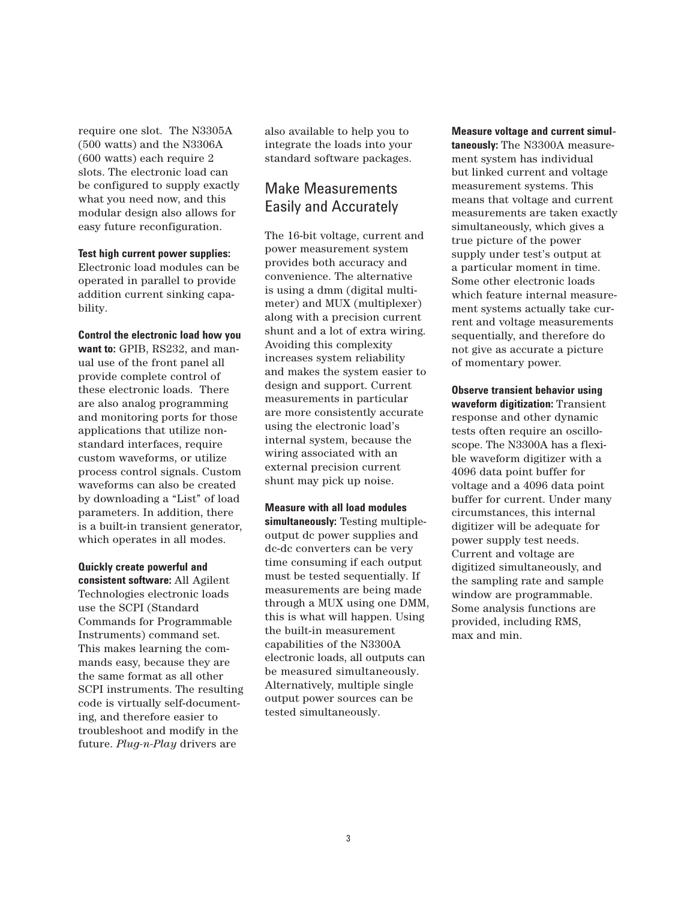require one slot. The N3305A (500 watts) and the N3306A (600 watts) each require 2 slots. The electronic load can be configured to supply exactly what you need now, and this modular design also allows for easy future reconfiguration.

## **Test high current power supplies:**

Electronic load modules can be operated in parallel to provide addition current sinking capability.

**Control the electronic load how you want to:** GPIB, RS232, and manual use of the front panel all provide complete control of these electronic loads. There are also analog programming and monitoring ports for those applications that utilize nonstandard interfaces, require custom waveforms, or utilize process control signals. Custom waveforms can also be created by downloading a "List" of load parameters. In addition, there is a built-in transient generator, which operates in all modes.

**Quickly create powerful and consistent software:** All Agilent Technologies electronic loads use the SCPI (Standard Commands for Programmable Instruments) command set. This makes learning the commands easy, because they are the same format as all other SCPI instruments. The resulting code is virtually self-documenting, and therefore easier to troubleshoot and modify in the future. *Plug-n-Play* drivers are

also available to help you to integrate the loads into your standard software packages.

# Make Measurements Easily and Accurately

The 16-bit voltage, current and power measurement system provides both accuracy and convenience. The alternative is using a dmm (digital multimeter) and MUX (multiplexer) along with a precision current shunt and a lot of extra wiring. Avoiding this complexity increases system reliability and makes the system easier to design and support. Current measurements in particular are more consistently accurate using the electronic load's internal system, because the wiring associated with an external precision current shunt may pick up noise.

**Measure with all load modules simultaneously:** Testing multipleoutput dc power supplies and dc-dc converters can be very time consuming if each output must be tested sequentially. If measurements are being made through a MUX using one DMM, this is what will happen. Using the built-in measurement capabilities of the N3300A electronic loads, all outputs can be measured simultaneously. Alternatively, multiple single output power sources can be tested simultaneously.

**Measure voltage and current simultaneously:** The N3300A measurement system has individual but linked current and voltage measurement systems. This means that voltage and current measurements are taken exactly simultaneously, which gives a true picture of the power supply under test's output at a particular moment in time. Some other electronic loads which feature internal measurement systems actually take current and voltage measurements sequentially, and therefore do not give as accurate a picture of momentary power.

**Observe transient behavior using waveform digitization:** Transient response and other dynamic tests often require an oscilloscope. The N3300A has a flexible waveform digitizer with a 4096 data point buffer for voltage and a 4096 data point buffer for current. Under many circumstances, this internal digitizer will be adequate for power supply test needs. Current and voltage are digitized simultaneously, and the sampling rate and sample window are programmable. Some analysis functions are provided, including RMS, max and min.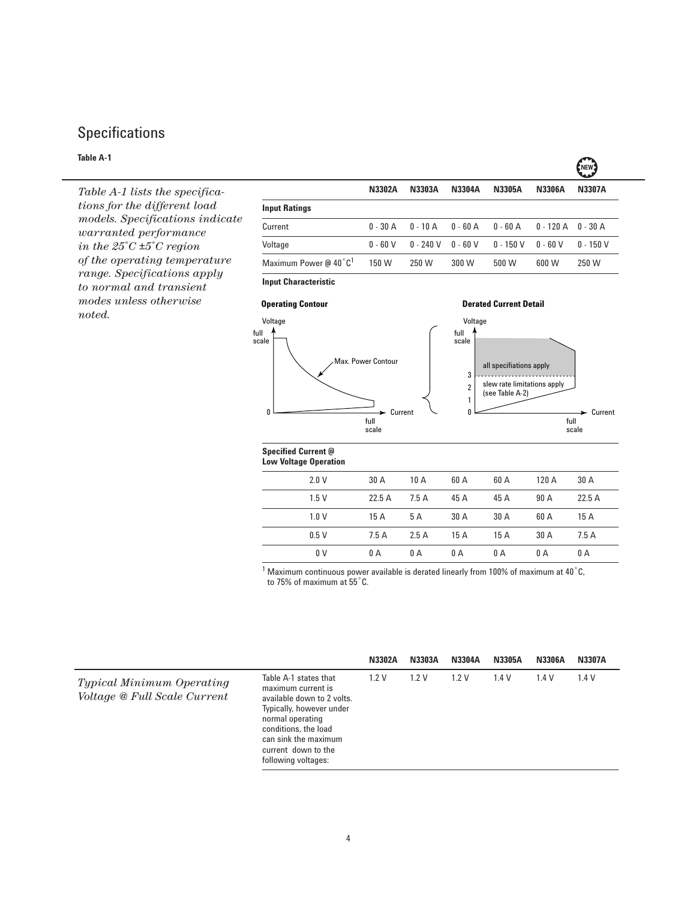# Specifications

# **Table A-1**

*Table A-1 lists the specifications for the different load models. Specifications indicate warranted performance in the 25*˚*C ±5*˚*C region of the operating temperature range. Specifications apply to normal and transient modes unless otherwise noted.*

|                                        |               |            |               |               |               | .             |
|----------------------------------------|---------------|------------|---------------|---------------|---------------|---------------|
|                                        | <b>N3302A</b> | N3303A     | <b>N3304A</b> | <b>N3305A</b> | <b>N3306A</b> | <b>N3307A</b> |
| <b>Input Ratings</b>                   |               |            |               |               |               |               |
| Current                                | $0 - 30$ A    | $0 - 10$ A | $0 - 60$ A    | $0 - 60$ A    | 0 - 120 A     | 0 - 30 A      |
| Voltage                                | $0 - 60 V$    | $0 - 240V$ | $0 - 60 V$    | $0 - 150 V$   | $0 - 60 V$    | $0 - 150 V$   |
| Maximum Power $@$ 40 $°C$ <sup>1</sup> | 150 W         | 250 W      | 300 W         | 500 W         | 600 W         | 250 W         |
|                                        |               |            |               |               |               |               |

**ENEW?** 

**Input Characteristic**





# **Specified Current @**

| <b>Low Voltage Operation</b> |       |      |      |      |       |       |  |
|------------------------------|-------|------|------|------|-------|-------|--|
| 2.0V                         | 30 A  | 10A  | 60 A | 60 A | 120 A | 30 A  |  |
| 1.5V                         | 22.5A | 7.5A | 45 A | 45 A | 90 A  | 22.5A |  |
| 1.0V                         | 15 A  | 5 A  | 30 A | 30 A | 60 A  | 15 A  |  |
| 0.5V                         | 7.5A  | 2.5A | 15 A | 15 A | 30 A  | 7.5 A |  |
| 0 V                          | 0 A   | 0 A  | 0 A  | 0 A  | 0 A   | 0 A   |  |

 $1$  Maximum continuous power available is derated linearly from 100% of maximum at 40 $^{\circ}$ C, to 75% of maximum at 55˚C.

|                                                                         |                                                                                                                                                                                                                         | <b>N3302A</b> | <b>N3303A</b> | N3304A | <b>N3305A</b> | <b>N3306A</b> | <b>N3307A</b> |
|-------------------------------------------------------------------------|-------------------------------------------------------------------------------------------------------------------------------------------------------------------------------------------------------------------------|---------------|---------------|--------|---------------|---------------|---------------|
| <b>Typical Minimum Operating</b><br><i>Voltage</i> @ Full Scale Current | Table A-1 states that<br>maximum current is<br>available down to 2 volts.<br>Typically, however under<br>normal operating<br>conditions, the load<br>can sink the maximum<br>current down to the<br>following voltages: | 1.2V          | 1.2V          | 1.2V   | 1.4V          | 1.4V          | 1.4V          |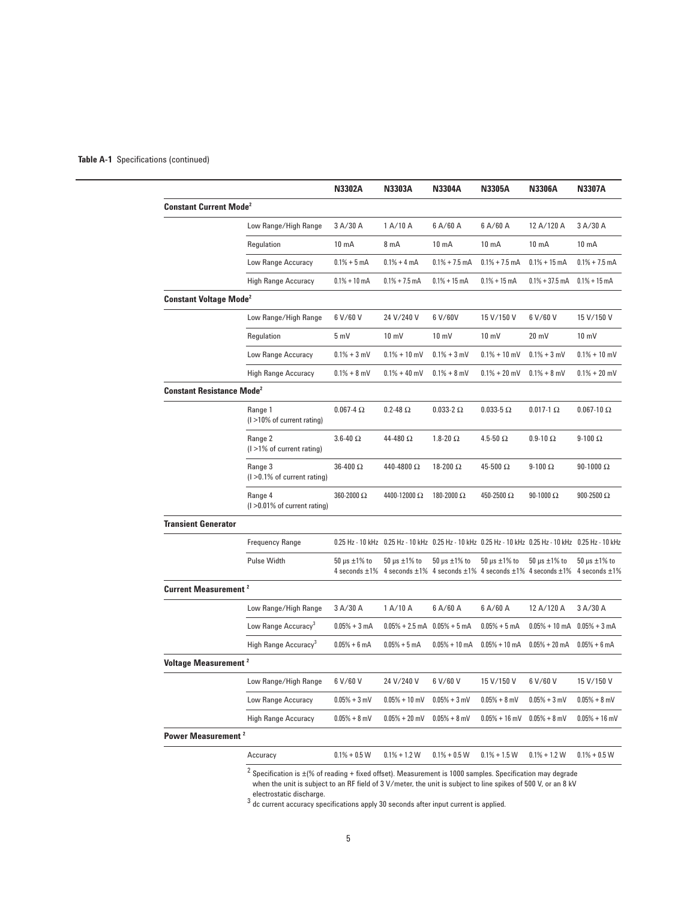## **Table A-1** Specifications (continued)

|                                             |                                             | <b>N3302A</b>                                | <b>N3303A</b>                                                                                         | <b>N3304A</b>                                                                    | <b>N3305A</b>       | <b>N3306A</b>         | <b>N3307A</b>                                |
|---------------------------------------------|---------------------------------------------|----------------------------------------------|-------------------------------------------------------------------------------------------------------|----------------------------------------------------------------------------------|---------------------|-----------------------|----------------------------------------------|
| <b>Constant Current Mode<sup>2</sup></b>    |                                             |                                              |                                                                                                       |                                                                                  |                     |                       |                                              |
|                                             | Low Range/High Range                        | 3 A/30 A                                     | 1 A/10 A                                                                                              | 6A/60A                                                                           | 6A/60A              | 12 A/120 A            | 3 A/30 A                                     |
|                                             | Regulation                                  | $10 \text{ mA}$                              | 8 <sub>m</sub> A                                                                                      | 10 <sub>m</sub> A                                                                | 10 <sub>m</sub> A   | $10 \text{ mA}$       | $10 \text{ mA}$                              |
|                                             | Low Range Accuracy                          | $0.1% + 5mA$                                 | $0.1% + 4 mA$                                                                                         | $0.1\% + 7.5$ mA                                                                 | $0.1\% + 7.5$ mA    | $0.1\% + 15$ mA       | $0.1\% + 7.5$ mA                             |
|                                             | High Range Accuracy                         | $0.1% + 10$ mA                               | $0.1\% + 7.5$ mA                                                                                      | $0.1% + 15$ mA                                                                   | $0.1\% + 15$ mA     | $0.1\% + 37.5$ mA     | $0.1% + 15$ mA                               |
| <b>Constant Voltage Mode<sup>2</sup></b>    |                                             |                                              |                                                                                                       |                                                                                  |                     |                       |                                              |
|                                             | Low Range/High Range                        | 6 V/60 V                                     | 24 V/240 V                                                                                            | 6 V/60V                                                                          | 15 V/150 V          | 6 V/60 V              | 15 V/150 V                                   |
|                                             | Regulation                                  | 5 mV                                         | $10 \text{ mV}$                                                                                       | $10 \text{ mV}$                                                                  | $10 \text{ mV}$     | $20 \text{ mV}$       | $10 \text{ mV}$                              |
|                                             | Low Range Accuracy                          | $0.1% + 3$ mV                                | $0.1\% + 10$ mV                                                                                       | $0.1% + 3$ mV                                                                    | $0.1\% + 10$ mV     | $0.1% + 3$ mV         | $0.1\% + 10$ mV                              |
|                                             | <b>High Range Accuracy</b>                  | $0.1% + 8$ mV                                | $0.1\% + 40$ mV                                                                                       | $0.1% + 8$ mV                                                                    | $0.1\% + 20$ mV     | $0.1% + 8$ mV         | $0.1\% + 20$ mV                              |
| <b>Constant Resistance Mode<sup>2</sup></b> |                                             |                                              |                                                                                                       |                                                                                  |                     |                       |                                              |
|                                             | Range 1<br>$(1 > 10\%$ of current rating)   | $0.067 - 4\Omega$                            | $0.2 - 48$ $\Omega$                                                                                   | $0.033-2$ $\Omega$                                                               | $0.033 - 5 \Omega$  | $0.017-1$ $\Omega$    | $0.067 - 10 \Omega$                          |
|                                             | Range 2<br>$(1 > 1\%$ of current rating)    | $3.6 - 40 \Omega$                            | 44-480 Ω                                                                                              | 1.8-20 $\Omega$                                                                  | 4.5-50 $\Omega$     | $0.9 - 10 \Omega$     | $9-100 \Omega$                               |
|                                             | Range 3<br>(I > 0.1% of current rating)     | $36-400 \Omega$                              | 440-4800 Ω                                                                                            | 18-200 $\Omega$                                                                  | 45-500 Ω            | $9-100 \Omega$        | $90-1000 \Omega$                             |
|                                             | Range 4<br>$(1 > 0.01\%$ of current rating) | 360-2000 Ω                                   | 4400-12000 Ω                                                                                          | 180-2000 Ω                                                                       | 450-2500 Ω          | $90-1000 \Omega$      | 900-2500 $\Omega$                            |
| <b>Transient Generator</b>                  |                                             |                                              |                                                                                                       |                                                                                  |                     |                       |                                              |
|                                             | <b>Frequency Range</b>                      |                                              | 0.25 Hz - 10 kHz 0.25 Hz - 10 kHz 0.25 Hz - 10 kHz 0.25 Hz - 10 kHz 0.25 Hz - 10 kHz 0.25 Hz - 10 kHz |                                                                                  |                     |                       |                                              |
|                                             | Pulse Width                                 | $50 \mu s \pm 1\%$ to<br>4 seconds $\pm 1\%$ | $50 \mu s \pm 1\%$ to                                                                                 | $50 \mu s \pm 1\%$ to<br>4 seconds ±1% 4 seconds ±1% 4 seconds ±1% 4 seconds ±1% | $50 \,\mu s$ ±1% to | $50 \mu s \pm 1\%$ to | $50 \mu s \pm 1\%$ to<br>4 seconds $\pm 1\%$ |
| <b>Current Measurement<sup>2</sup></b>      |                                             |                                              |                                                                                                       |                                                                                  |                     |                       |                                              |
|                                             | Low Range/High Range                        | 3 A/30 A                                     | 1 A/10 A                                                                                              | 6A/60A                                                                           | 6 A/60 A            | 12 A/120 A            | 3 A/30 A                                     |
|                                             | Low Range Accuracy <sup>3</sup>             | $0.05% + 3 mA$                               | $0.05\% + 2.5$ mA $0.05\% + 5$ mA                                                                     |                                                                                  | $0.05% + 5 mA$      | $0.05\% + 10$ mA      | $0.05% + 3 mA$                               |
|                                             | High Range Accuracy <sup>3</sup>            | $0.05% + 6$ mA                               | $0.05% + 5$ mA                                                                                        | $0.05\% + 10$ mA                                                                 | $0.05% + 10$ mA     | $0.05% + 20$ mA       | $0.05% + 6$ mA                               |
| Voltage Measurement <sup>2</sup>            |                                             |                                              |                                                                                                       |                                                                                  |                     |                       |                                              |
|                                             | Low Range/High Range                        | 6 V/60 V                                     | 24 V/240 V                                                                                            | 6 V/60 V                                                                         | 15 V/150 V          | 6 V/60 V              | 15 V/150 V                                   |
|                                             | Low Range Accuracy                          | $0.05% + 3$ mV                               | $0.05% + 10$ mV                                                                                       | $0.05% + 3$ mV                                                                   | $0.05% + 8$ mV      | $0.05% + 3$ mV        | $0.05% + 8$ mV                               |
|                                             | <b>High Range Accuracy</b>                  | $0.05% + 8$ mV                               | $0.05\% + 20$ mV                                                                                      | $0.05% + 8$ mV                                                                   | $0.05\% + 16$ mV    | $0.05% + 8$ mV        | $0.05% + 16$ mV                              |
| Power Measurement <sup>2</sup>              |                                             |                                              |                                                                                                       |                                                                                  |                     |                       |                                              |
|                                             | Accuracy                                    | $0.1\% + 0.5$ W                              | $0.1\% + 1.2$ W                                                                                       | $0.1\% + 0.5$ W                                                                  | $0.1\% + 1.5$ W     | $0.1\% + 1.2 W$       | $0.1\% + 0.5$ W                              |
|                                             |                                             |                                              |                                                                                                       |                                                                                  |                     |                       |                                              |

 $^2$  Specification is  $\pm$ (% of reading + fixed offset). Measurement is 1000 samples. Specification may degrade when the unit is subject to an RF field of 3 V/meter, the unit is subject to line spikes of 500 V, or an 8 kV

electrostatic discharge.<br><sup>3</sup> dc current accuracy specifications apply 30 seconds after input current is applied.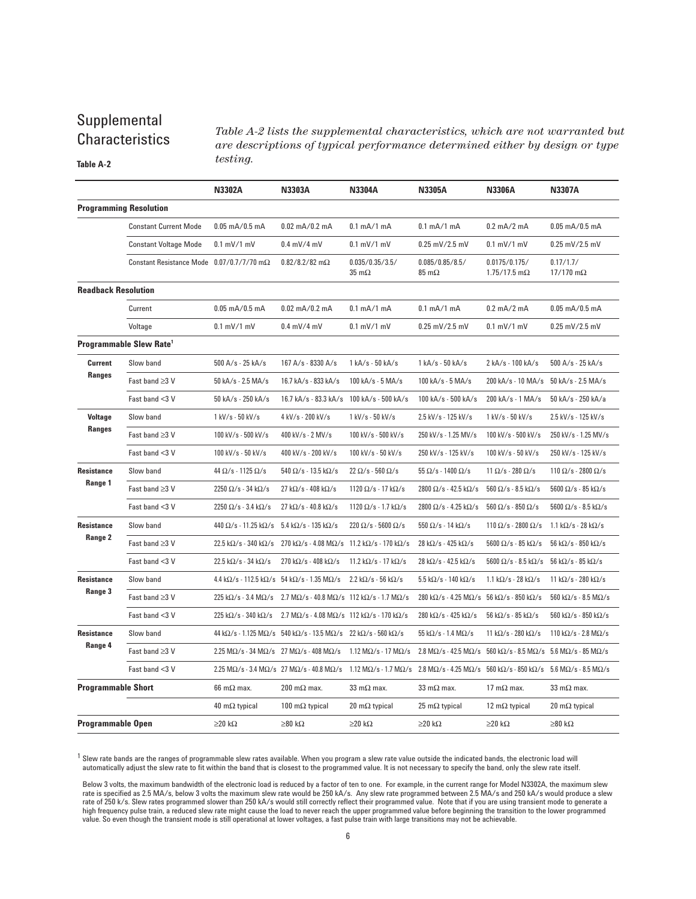# Supplemental **Characteristics**

**Table A-2**

*Table A-2 lists the supplemental characteristics, which are not warranted but are descriptions of typical performance determined either by design or type testing.*

|                            |                                                     | N3302A                                                                     | N3303A                                                                                                                                                                                             | <b>N3304A</b>                                           | N3305A                                                   | <b>N3306A</b>                                                                                                  | <b>N3307A</b>                                            |
|----------------------------|-----------------------------------------------------|----------------------------------------------------------------------------|----------------------------------------------------------------------------------------------------------------------------------------------------------------------------------------------------|---------------------------------------------------------|----------------------------------------------------------|----------------------------------------------------------------------------------------------------------------|----------------------------------------------------------|
|                            | <b>Programming Resolution</b>                       |                                                                            |                                                                                                                                                                                                    |                                                         |                                                          |                                                                                                                |                                                          |
|                            | <b>Constant Current Mode</b>                        | $0.05$ mA/ $0.5$ mA                                                        | $0.02$ mA/0.2 mA                                                                                                                                                                                   | $0.1$ mA/1 mA                                           | $0.1$ mA/1 mA                                            | $0.2$ mA/2 mA                                                                                                  | $0.05$ mA/0.5 mA                                         |
|                            | <b>Constant Voltage Mode</b>                        | $0.1$ mV/1 mV                                                              | $0.4$ mV/4 mV                                                                                                                                                                                      | $0.1$ mV/1 mV                                           | $0.25$ mV/2.5 mV                                         | $0.1$ mV/1 mV                                                                                                  | $0.25$ mV/2.5 mV                                         |
|                            | Constant Resistance Mode $0.07/0.7/7/70$ m $\Omega$ |                                                                            | $0.82/8.2/82$ m $\Omega$                                                                                                                                                                           | 0.035/0.35/3.5/<br>$35 \text{ m}\Omega$                 | 0.085/0.85/8.5/<br>$85 \text{ m}\Omega$                  | 0.0175/0.175/<br>$1.75/17.5$ m $\Omega$                                                                        | 0.17/1.7/<br>$17/170$ m $\Omega$                         |
| <b>Readback Resolution</b> |                                                     |                                                                            |                                                                                                                                                                                                    |                                                         |                                                          |                                                                                                                |                                                          |
|                            | Current                                             | $0.05$ mA/ $0.5$ mA                                                        | $0.02$ mA/0.2 mA                                                                                                                                                                                   | $0.1$ mA/1 mA                                           | $0.1$ mA/1 mA                                            | $0.2$ mA/2 mA                                                                                                  | $0.05$ mA/0.5 mA                                         |
|                            | Voltage                                             | $0.1$ mV/1 mV                                                              | $0.4$ mV/4 mV                                                                                                                                                                                      | $0.1$ mV/1 mV                                           | $0.25$ mV/2.5 mV                                         | $0.1$ mV/1 mV                                                                                                  | $0.25$ mV/2.5 mV                                         |
|                            | Programmable Slew Rate <sup>1</sup>                 |                                                                            |                                                                                                                                                                                                    |                                                         |                                                          |                                                                                                                |                                                          |
| <b>Current</b>             | Slow band                                           | 500 A/s - 25 kA/s                                                          | 167 A/s - 8330 A/s                                                                                                                                                                                 | 1 kA/s - 50 kA/s                                        | $1 kA/s - 50 kA/s$                                       | 2 kA/s - 100 kA/s                                                                                              | 500 A/s - 25 kA/s                                        |
| <b>Ranges</b>              | Fast band ≥3 V                                      | 50 kA/s - 2.5 MA/s                                                         | 16.7 kA/s - 833 kA/s                                                                                                                                                                               | 100 kA/s - 5 MA/s                                       | 100 kA/s - 5 MA/s                                        | 200 kA/s - 10 MA/s                                                                                             | 50 kA/s - 2.5 MA/s                                       |
|                            | Fast band <3 V                                      | 50 kA/s - 250 kA/s                                                         | 16.7 kA/s - 83.3 kA/s                                                                                                                                                                              | 100 kA/s - 500 kA/s                                     | 100 kA/s - 500 kA/s                                      | 200 kA/s - 1 MA/s                                                                                              | 50 kA/s - 250 kA/a                                       |
| <b>Voltage</b>             | Slow band                                           | 1 kV/s - 50 kV/s                                                           | 4 kV/s - 200 kV/s                                                                                                                                                                                  | 1 kV/s - 50 kV/s                                        | 2.5 kV/s - 125 kV/s                                      | 1 kV/s - 50 kV/s                                                                                               | 2.5 kV/s - 125 kV/s                                      |
| <b>Ranges</b>              | Fast band ≥3 V                                      | 100 kV/s - 500 kV/s                                                        | 400 kV/s - 2 MV/s                                                                                                                                                                                  | 100 kV/s - 500 kV/s                                     | 250 kV/s - 1.25 MV/s                                     | 100 kV/s - 500 kV/s                                                                                            | 250 kV/s - 1.25 MV/s                                     |
|                            | Fast band <3 V                                      | 100 kV/s - 50 kV/s                                                         | 400 kV/s - 200 kV/s                                                                                                                                                                                | 100 kV/s - 50 kV/s                                      | 250 kV/s - 125 kV/s                                      | 100 kV/s - 50 kV/s                                                                                             | 250 kV/s - 125 kV/s                                      |
| Resistance                 | Slow band                                           | 44 $\Omega$ /s - 1125 $\Omega$ /s                                          | $540 \Omega/s - 13.5 k\Omega/s$                                                                                                                                                                    | $22 \Omega/s - 560 \Omega/s$                            | $55 \Omega/s - 1400 \Omega/s$                            | $11 \Omega/s - 280 \Omega/s$                                                                                   | 110 $\Omega$ /s - 2800 $\Omega$ /s                       |
| Range 1                    | Fast band ≥3 V                                      | $2250 \Omega/s - 34 k\Omega/s$                                             | $27 k\Omega/s - 408 k\Omega/s$                                                                                                                                                                     | 1120 $\Omega$ /s - 17 k $\Omega$ /s                     | $2800 \Omega/s - 42.5 k\Omega/s$                         | $560 \Omega/s - 8.5 k\Omega/s$                                                                                 | $5600 \Omega/s - 85 k\Omega/s$                           |
|                            | Fast band <3 V                                      | $2250 \Omega/s - 3.4 k\Omega/s$                                            | $27 \text{ k}\Omega/\text{s}$ - 40.8 k $\Omega/\text{s}$                                                                                                                                           | 1120 $\Omega$ /s - 1.7 k $\Omega$ /s                    | 2800 $\Omega$ /s - 4.25 k $\Omega$ /s                    | $560 \Omega/s - 850 \Omega/s$                                                                                  | $5600 \Omega/s - 8.5 k\Omega/s$                          |
| Resistance                 | Slow band                                           | 440 $\Omega$ /s - 11.25 k $\Omega$ /s                                      | $5.4 \text{ k}\Omega/\text{s}$ - 135 k $\Omega/\text{s}$                                                                                                                                           | $220 \Omega/s - 5600 \Omega/s$                          | $550 \Omega/s - 14 k\Omega/s$                            | $110 \Omega/s - 2800 \Omega/s$                                                                                 | $1.1 \text{ k}\Omega/\text{s}$ - 28 k $\Omega/\text{s}$  |
| Range 2                    | Fast band $\geq$ 3 V                                |                                                                            | $22.5 \text{ k}\Omega/\text{s}$ - 340 k $\Omega/\text{s}$ 270 k $\Omega/\text{s}$ - 4.08 M $\Omega/\text{s}$ 11.2 k $\Omega/\text{s}$ - 170 k $\Omega/\text{s}$                                    |                                                         | $28 \text{ k}\Omega/\text{s}$ - 425 k $\Omega/\text{s}$  | $5600 \Omega/s - 85 k\Omega/s$                                                                                 | $56 \text{ k}\Omega/\text{s}$ - 850 k $\Omega/\text{s}$  |
|                            | Fast band <3 V                                      | $22.5 \text{ k}\Omega/\text{s}$ - 34 k $\Omega/\text{s}$                   | 270 k $\Omega$ /s - 408 k $\Omega$ /s                                                                                                                                                              | 11.2 k $\Omega$ /s - 17 k $\Omega$ /s                   | $28 \text{ k}\Omega/\text{s}$ - 42.5 k $\Omega/\text{s}$ | $5600 \Omega/s - 8.5 k\Omega/s$                                                                                | $56 \text{ k}\Omega/\text{s}$ - 85 k $\Omega/\text{s}$   |
| Resistance                 | Slow band                                           |                                                                            | $4.4 \text{ k}\Omega/\text{s} - 112.5 \text{ k}\Omega/\text{s}$ 54 k $\Omega/\text{s}$ - 1.35 M $\Omega/\text{s}$                                                                                  | $2.2 \text{ k}\Omega/\text{s}$ - 56 k $\Omega/\text{s}$ | $5.5 \text{ k}\Omega/\text{s}$ - 140 k $\Omega/\text{s}$ | 1.1 k $\Omega$ /s - 28 k $\Omega$ /s                                                                           | 11 k $\Omega$ /s - 280 k $\Omega$ /s                     |
| Range 3                    | Fast band ≥3 V                                      | $225 \text{ k}\Omega/\text{s}$ - 3.4 M $\Omega/\text{s}$                   | 2.7 M $\Omega$ /s - 40.8 M $\Omega$ /s 112 k $\Omega$ /s - 1.7 M $\Omega$ /s                                                                                                                       |                                                         | 280 kΩ/s - 4.25 MΩ/s 56 kΩ/s - 850 kΩ/s                  |                                                                                                                | $560 \text{ k}\Omega/\text{s}$ - 8.5 M $\Omega/\text{s}$ |
|                            | Fast band <3 V                                      | $225 \text{ k}\Omega/\text{s}$ - 340 k $\Omega/\text{s}$                   | $2.7 M\Omega/s - 4.08 M\Omega/s$ 112 k $\Omega/s - 170 k\Omega/s$                                                                                                                                  |                                                         | 280 k $\Omega$ /s - 425 k $\Omega$ /s                    | $56 \text{ k}\Omega/s$ - 85 k $\Omega/s$                                                                       | $560 \text{ k}\Omega/\text{s}$ - 850 k $\Omega/\text{s}$ |
| <b>Resistance</b>          | Slow band                                           |                                                                            | $44 k\Omega/s - 1.125 M\Omega/s$ 540 k $\Omega/s - 13.5 M\Omega/s$ 22 k $\Omega/s - 560 k\Omega/s$                                                                                                 |                                                         | $55 \text{ k}\Omega/\text{s}$ - 1.4 M $\Omega/\text{s}$  | 11 k $\Omega$ /s - 280 k $\Omega$ /s                                                                           | 110 k $\Omega$ /s - 2.8 M $\Omega$ /s                    |
| Range 4                    | Fast band ≥3 V                                      | 2.25 M $\Omega$ /s - 34 M $\Omega$ /s 27 M $\Omega$ /s - 408 M $\Omega$ /s |                                                                                                                                                                                                    | 1.12 M $\Omega$ /s - 17 M $\Omega$ /s                   | 2.8 M $\Omega$ /s - 42.5 M $\Omega$ /s                   | $560 \text{ k}\Omega/\text{s} - 8.5 \text{ M}\Omega/\text{s}$ 5.6 M $\Omega/\text{s}$ - 85 M $\Omega/\text{s}$ |                                                          |
|                            | Fast band <3 V                                      |                                                                            | $2.25 M\Omega/s - 3.4 M\Omega/s$ 27 $M\Omega/s - 40.8 M\Omega/s - 1.12 M\Omega/s - 1.7 M\Omega/s$ 2.8 $M\Omega/s - 4.25 M\Omega/s - 560 k\Omega/s - 850 k\Omega/s - 5.6 M\Omega/s - 8.5 M\Omega/s$ |                                                         |                                                          |                                                                                                                |                                                          |
| <b>Programmable Short</b>  |                                                     | $66 \text{ m}\Omega$ max.                                                  | 200 m $\Omega$ max.                                                                                                                                                                                | 33 m $\Omega$ max.                                      | 33 m $\Omega$ max.                                       | 17 m $\Omega$ max.                                                                                             | 33 m $\Omega$ max.                                       |
|                            |                                                     | 40 m $\Omega$ typical                                                      | 100 m $\Omega$ typical                                                                                                                                                                             | 20 m $\Omega$ typical                                   | $25 \text{ mA}$ typical                                  | 12 m $\Omega$ typical                                                                                          | 20 m $\Omega$ typical                                    |
| Programmable Open          |                                                     | $\geq$ 20 k $\Omega$                                                       | $\geq 80$ kΩ                                                                                                                                                                                       | $\geq$ 20 k $\Omega$                                    | $\geq$ 20 k $\Omega$                                     | $\geq$ 20 k $\Omega$                                                                                           | ≥80 kΩ                                                   |

<sup>1</sup> Slew rate bands are the ranges of programmable slew rates available. When you program a slew rate value outside the indicated bands, the electronic load will<br>hautomatically adjust the slew rate to fit within the band t

Below 3 volts, the maximum bandwidth of the electronic load is reduced by a factor of ten to one. For example, in the current range for Model N3302A, the maximum slew rate is specified as 2.5 MA/s, below 3 volts the maximum slew rate would be 250 kA/s. Any slew rate programmed between 2.5 MA/s and 250 kA/s would produce a slew rate of 250 k/s. Slew rates programmed slower than 250 kA/s would still correctly reflect their programmed value. Note that if you are using transient mode to generate a<br>high frequency pulse train, a reduced slew rate migh value. So even though the transient mode is still operational at lower voltages, a fast pulse train with large transitions may not be achievable.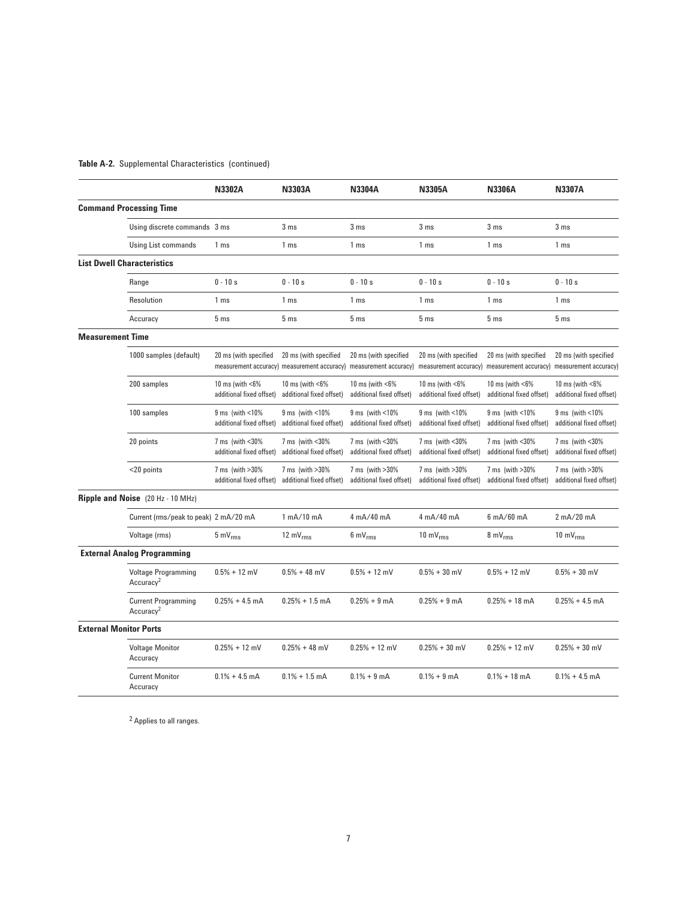# **Table A-2.** Supplemental Characteristics (continued)

|                               |                                                     | <b>N3302A</b>                                             | <b>N3303A</b>                                                        | <b>N3304A</b>                                                     | <b>N3305A</b>                                             | <b>N3306A</b>                                               | <b>N3307A</b>                                             |
|-------------------------------|-----------------------------------------------------|-----------------------------------------------------------|----------------------------------------------------------------------|-------------------------------------------------------------------|-----------------------------------------------------------|-------------------------------------------------------------|-----------------------------------------------------------|
|                               | <b>Command Processing Time</b>                      |                                                           |                                                                      |                                                                   |                                                           |                                                             |                                                           |
|                               | Using discrete commands 3 ms                        |                                                           | 3 <sub>ms</sub>                                                      | 3 <sub>ms</sub>                                                   | 3 <sub>ms</sub>                                           | 3 <sub>ms</sub>                                             | 3 <sub>ms</sub>                                           |
|                               | <b>Using List commands</b>                          | 1 ms                                                      | 1 ms                                                                 | 1 ms                                                              | 1 ms                                                      | 1 ms                                                        | 1 ms                                                      |
|                               | <b>List Dwell Characteristics</b>                   |                                                           |                                                                      |                                                                   |                                                           |                                                             |                                                           |
|                               | Range                                               | $0 - 10s$                                                 | $0 - 10s$                                                            | $0 - 10s$                                                         | $0 - 10s$                                                 | $0 - 10s$                                                   | $0 - 10s$                                                 |
|                               | Resolution                                          | 1 <sub>ms</sub>                                           | 1 <sub>ms</sub>                                                      | 1 ms                                                              | 1 ms                                                      | 1 ms                                                        | 1 ms                                                      |
|                               | Accuracy                                            | 5 <sub>ms</sub>                                           | 5 <sub>ms</sub>                                                      | 5 <sub>ms</sub>                                                   | 5 <sub>ms</sub>                                           | 5 <sub>ms</sub>                                             | 5 <sub>ms</sub>                                           |
| <b>Measurement Time</b>       |                                                     |                                                           |                                                                      |                                                                   |                                                           |                                                             |                                                           |
|                               | 1000 samples (default)                              | 20 ms (with specified                                     | 20 ms (with specified<br>measurement accuracy) measurement accuracy) | 20 ms (with specified<br>measurement accuracy)                    | 20 ms (with specified<br>measurement accuracy)            | 20 ms (with specified<br>measurement accuracy)              | 20 ms (with specified<br>measurement accuracy)            |
|                               | 200 samples                                         | 10 ms (with $<6\%$<br>additional fixed offset)            | 10 ms (with $<6\%$<br>additional fixed offset)                       | 10 ms (with $<6\%$<br>additional fixed offset)                    | 10 ms (with $<6\%$<br>additional fixed offset)            | 10 ms (with $<6\%$<br>additional fixed offset)              | 10 ms (with $<6\%$<br>additional fixed offset)            |
|                               | 100 samples                                         | $9 \text{ ms}$ (with $< 10\%$<br>additional fixed offset) | $9 \text{ ms}$ (with $< 10\%$<br>additional fixed offset)            | $9 \text{ ms}$ (with $\textless 10\%$<br>additional fixed offset) | $9 \text{ ms}$ (with $< 10\%$<br>additional fixed offset) | $9 \text{ ms}$ (with $\lt 10\%$<br>additional fixed offset) | $9 \text{ ms}$ (with $< 10\%$<br>additional fixed offset) |
|                               | 20 points                                           | 7 ms (with $<$ 30%<br>additional fixed offset)            | 7 ms (with <30%)<br>additional fixed offset)                         | 7 ms (with <30%<br>additional fixed offset)                       | 7 ms (with <30%)<br>additional fixed offset)              | 7 ms (with $<$ 30%<br>additional fixed offset)              | 7 ms (with <30%)<br>additional fixed offset)              |
|                               | <20 points                                          | 7 ms (with >30%<br>additional fixed offset)               | 7 ms (with > 30%<br>additional fixed offset)                         | 7 ms (with > 30%<br>additional fixed offset)                      | 7 ms (with > 30%<br>additional fixed offset)              | 7 ms (with > 30%<br>additional fixed offset)                | 7 ms (with > 30%<br>additional fixed offset)              |
|                               | <b>Ripple and Noise</b> (20 Hz - 10 MHz)            |                                                           |                                                                      |                                                                   |                                                           |                                                             |                                                           |
|                               | Current (rms/peak to peak) 2 mA/20 mA               |                                                           | 1 mA/10 mA                                                           | 4 mA/40 mA                                                        | 4 mA/40 mA                                                | $6 \text{ mA}/60 \text{ mA}$                                | 2 mA/20 mA                                                |
|                               | Voltage (rms)                                       | $5 \text{ mV}_{\text{rms}}$                               | 12 $mV_{rms}$                                                        | $6 \text{ mV}_{\text{rms}}$                                       | 10 m $V_{rms}$                                            | $8 \text{ mV}_{\text{rms}}$                                 | 10 m $V_{rms}$                                            |
|                               | <b>External Analog Programming</b>                  |                                                           |                                                                      |                                                                   |                                                           |                                                             |                                                           |
|                               | <b>Voltage Programming</b><br>Accuracy <sup>2</sup> | $0.5% + 12$ mV                                            | $0.5% + 48$ mV                                                       | $0.5% + 12$ mV                                                    | $0.5% + 30$ mV                                            | $0.5% + 12$ mV                                              | $0.5% + 30$ mV                                            |
|                               | <b>Current Programming</b><br>Accuracy <sup>2</sup> | $0.25% + 4.5$ mA                                          | $0.25% + 1.5$ mA                                                     | $0.25% + 9$ mA                                                    | $0.25% + 9$ mA                                            | $0.25% + 18$ mA                                             | $0.25% + 4.5$ mA                                          |
| <b>External Monitor Ports</b> |                                                     |                                                           |                                                                      |                                                                   |                                                           |                                                             |                                                           |
|                               | <b>Voltage Monitor</b><br>Accuracy                  | $0.25% + 12$ mV                                           | $0.25% + 48$ mV                                                      | $0.25% + 12$ mV                                                   | $0.25% + 30$ mV                                           | $0.25% + 12$ mV                                             | $0.25% + 30$ mV                                           |
|                               | <b>Current Monitor</b><br>Accuracy                  | $0.1\% + 4.5$ mA                                          | $0.1\% + 1.5$ mA                                                     | $0.1% + 9$ mA                                                     | $0.1% + 9$ mA                                             | $0.1\% + 18$ mA                                             | $0.1\% + 4.5$ mA                                          |

2 Applies to all ranges.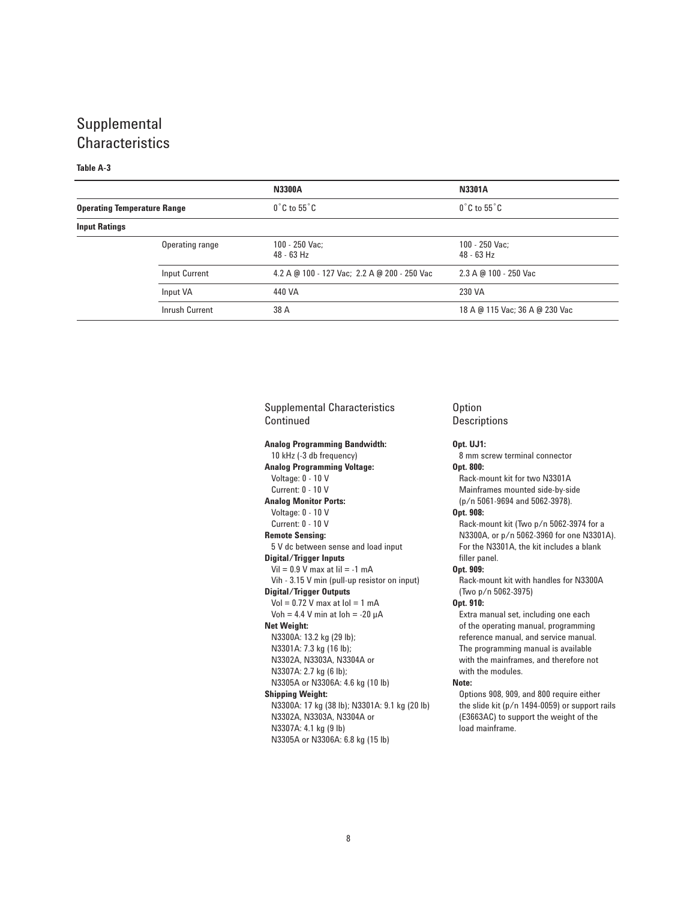# Supplemental **Characteristics**

# **Table A-3**

|                                    |                 | <b>N3300A</b>                                | <b>N3301A</b>                    |
|------------------------------------|-----------------|----------------------------------------------|----------------------------------|
| <b>Operating Temperature Range</b> |                 | $0^{\circ}$ C to 55 $^{\circ}$ C             | $0^{\circ}$ C to 55 $^{\circ}$ C |
| <b>Input Ratings</b>               |                 |                                              |                                  |
|                                    | Operating range | $100 - 250$ Vac:<br>$48 - 63$ Hz             | $100 - 250$ Vac:<br>$48 - 63$ Hz |
|                                    | Input Current   | 4.2 A @ 100 - 127 Vac; 2.2 A @ 200 - 250 Vac | 2.3 A @ 100 - 250 Vac            |
|                                    | Input VA        | 440 VA                                       | 230 VA                           |
|                                    | Inrush Current  | 38 A                                         | 18 A @ 115 Vac; 36 A @ 230 Vac   |

Supplemental Characteristics Continued

## **Analog Programming Bandwidth:**

10 kHz (-3 db frequency) **Analog Programming Voltage:** Voltage: 0 - 10 V Current: 0 - 10 V **Analog Monitor Ports:** Voltage: 0 - 10 V Current: 0 - 10 V **Remote Sensing:** 5 V dc between sense and load input **Digital/Trigger Inputs** Vil =  $0.9$  V max at Iil =  $-1$  mA Vih - 3.15 V min (pull-up resistor on input) **Digital/Trigger Outputs**  $Vol = 0.72$  V max at  $Io = 1$  mA Voh =  $4.4$  V min at  $\text{loh} = -20 \mu\text{A}$ **Net Weight:** N3300A: 13.2 kg (29 lb); N3301A: 7.3 kg (16 lb); N3302A, N3303A, N3304A or N3307A: 2.7 kg (6 lb); N3305A or N3306A: 4.6 kg (10 lb) **Shipping Weight:** N3300A: 17 kg (38 lb); N3301A: 9.1 kg (20 lb) N3302A, N3303A, N3304A or N3307A: 4.1 kg (9 lb) N3305A or N3306A: 6.8 kg (15 lb)

## **Option Descriptions**

### **Opt. UJ1:**

8 mm screw terminal connector **Opt. 800:**

Rack-mount kit for two N3301A Mainframes mounted side-by-side (p/n 5061-9694 and 5062-3978).

### **Opt. 908:**

Rack-mount kit (Two p/n 5062-3974 for a N3300A, or p/n 5062-3960 for one N3301A). For the N3301A, the kit includes a blank filler panel.

### **Opt. 909:**

Rack-mount kit with handles for N3300A (Two p/n 5062-3975)

### **Opt. 910:**

Extra manual set, including one each of the operating manual, programming reference manual, and service manual. The programming manual is available with the mainframes, and therefore not with the modules.

#### **Note:**

Options 908, 909, and 800 require either the slide kit (p/n 1494-0059) or support rails (E3663AC) to support the weight of the load mainframe.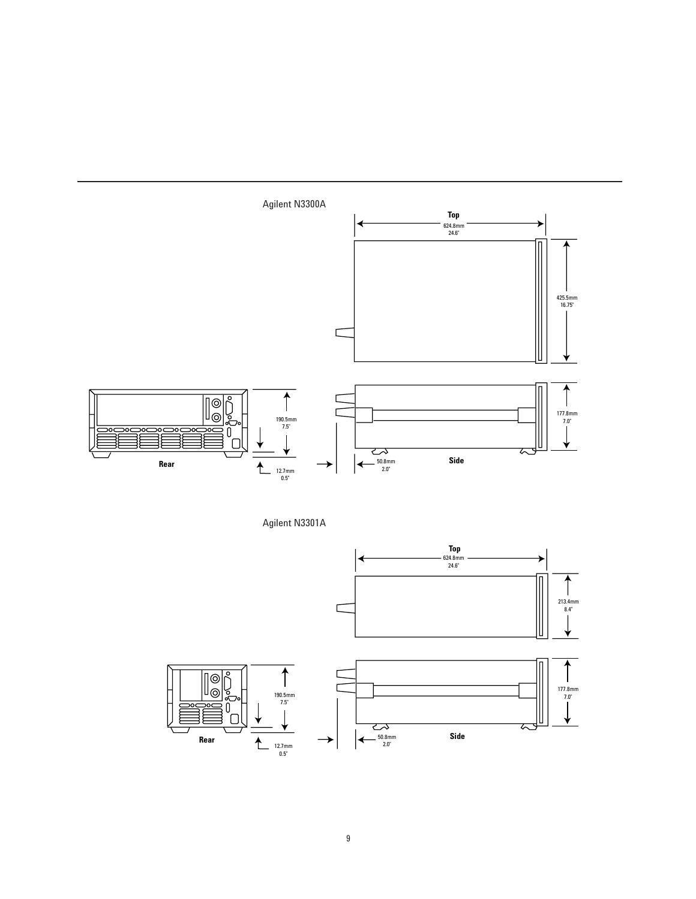